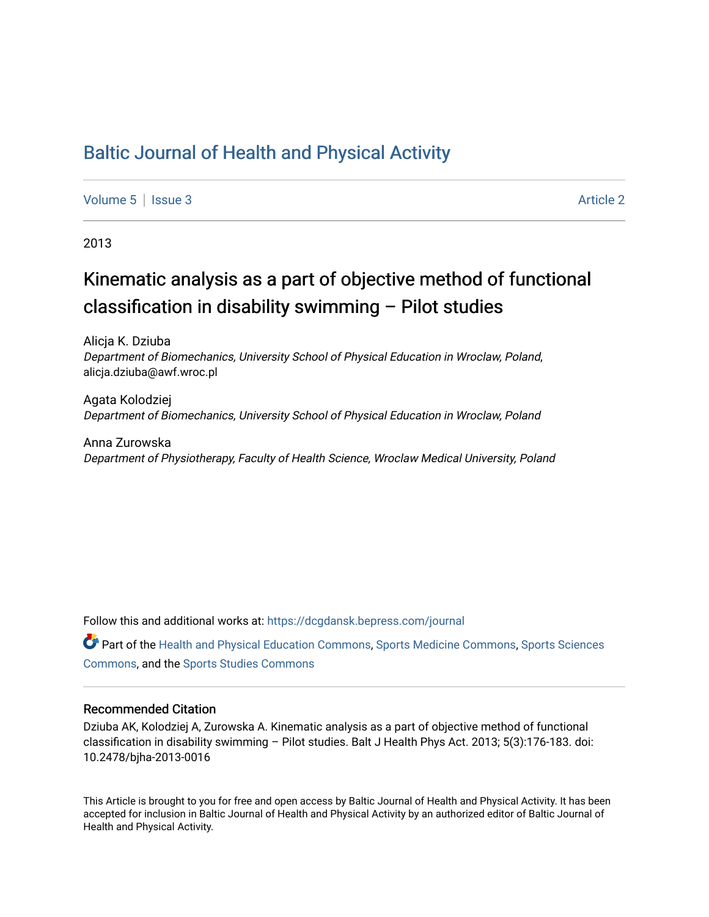# [Baltic Journal of Health and Physical Activity](https://dcgdansk.bepress.com/journal)

[Volume 5](https://dcgdansk.bepress.com/journal/vol5) | [Issue 3](https://dcgdansk.bepress.com/journal/vol5/iss3) Article 2

2013

# Kinematic analysis as a part of objective method of functional classification in disability swimming – Pilot studies

Alicja K. Dziuba Department of Biomechanics, University School of Physical Education in Wroclaw, Poland, alicja.dziuba@awf.wroc.pl

Agata Kolodziej Department of Biomechanics, University School of Physical Education in Wroclaw, Poland

Anna Zurowska Department of Physiotherapy, Faculty of Health Science, Wroclaw Medical University, Poland

Follow this and additional works at: [https://dcgdansk.bepress.com/journal](https://dcgdansk.bepress.com/journal?utm_source=dcgdansk.bepress.com%2Fjournal%2Fvol5%2Fiss3%2F2&utm_medium=PDF&utm_campaign=PDFCoverPages)

Part of the [Health and Physical Education Commons](http://network.bepress.com/hgg/discipline/1327?utm_source=dcgdansk.bepress.com%2Fjournal%2Fvol5%2Fiss3%2F2&utm_medium=PDF&utm_campaign=PDFCoverPages), [Sports Medicine Commons,](http://network.bepress.com/hgg/discipline/1331?utm_source=dcgdansk.bepress.com%2Fjournal%2Fvol5%2Fiss3%2F2&utm_medium=PDF&utm_campaign=PDFCoverPages) [Sports Sciences](http://network.bepress.com/hgg/discipline/759?utm_source=dcgdansk.bepress.com%2Fjournal%2Fvol5%2Fiss3%2F2&utm_medium=PDF&utm_campaign=PDFCoverPages) [Commons](http://network.bepress.com/hgg/discipline/759?utm_source=dcgdansk.bepress.com%2Fjournal%2Fvol5%2Fiss3%2F2&utm_medium=PDF&utm_campaign=PDFCoverPages), and the [Sports Studies Commons](http://network.bepress.com/hgg/discipline/1198?utm_source=dcgdansk.bepress.com%2Fjournal%2Fvol5%2Fiss3%2F2&utm_medium=PDF&utm_campaign=PDFCoverPages) 

#### Recommended Citation

Dziuba AK, Kolodziej A, Zurowska A. Kinematic analysis as a part of objective method of functional classification in disability swimming – Pilot studies. Balt J Health Phys Act. 2013; 5(3):176-183. doi: 10.2478/bjha-2013-0016

This Article is brought to you for free and open access by Baltic Journal of Health and Physical Activity. It has been accepted for inclusion in Baltic Journal of Health and Physical Activity by an authorized editor of Baltic Journal of Health and Physical Activity.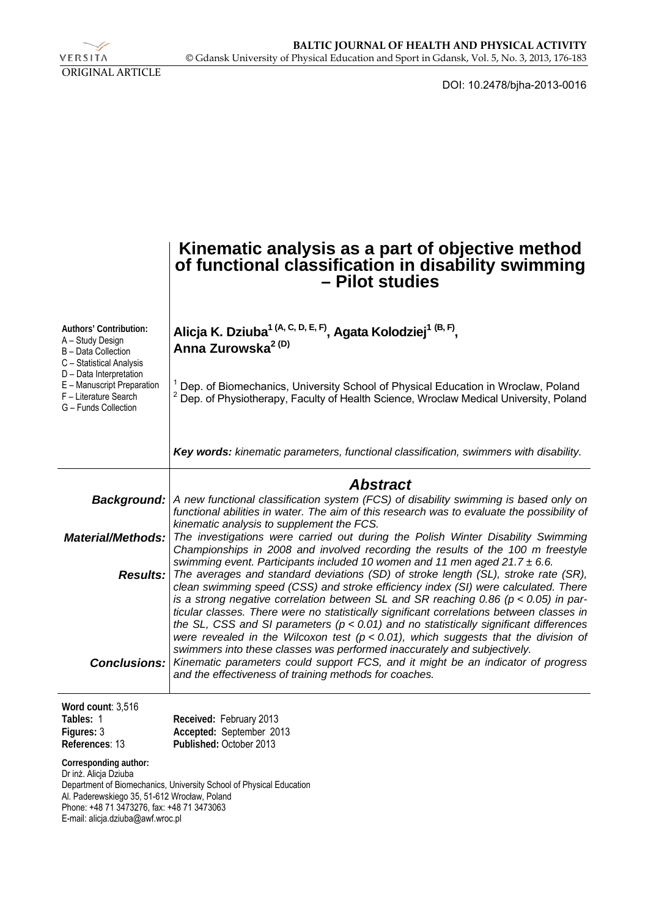

DOI: 10.2478/bjha-2013-0016

|                                                                                                                                                                                                                                                          | Kinematic analysis as a part of objective method<br>of functional classification in disability swimming<br>- Pilot studies                                                                                                                                                                                                                                                                                                                                                                                                                                      |  |  |
|----------------------------------------------------------------------------------------------------------------------------------------------------------------------------------------------------------------------------------------------------------|-----------------------------------------------------------------------------------------------------------------------------------------------------------------------------------------------------------------------------------------------------------------------------------------------------------------------------------------------------------------------------------------------------------------------------------------------------------------------------------------------------------------------------------------------------------------|--|--|
| Authors' Contribution:<br>A - Study Design<br>B - Data Collection<br>C - Statistical Analysis<br>D - Data Interpretation                                                                                                                                 | Alicja K. Dziuba <sup>1 (A, C, D, E, F)</sup> , Agata Kolodziej <sup>1 (B, F)</sup> ,<br>Anna Zurowska <sup>2 (D)</sup>                                                                                                                                                                                                                                                                                                                                                                                                                                         |  |  |
| E - Manuscript Preparation<br>F - Literature Search<br>G - Funds Collection                                                                                                                                                                              | <sup>1</sup> Dep. of Biomechanics, University School of Physical Education in Wroclaw, Poland<br><sup>2</sup> Dep. of Physiotherapy, Faculty of Health Science, Wroclaw Medical University, Poland                                                                                                                                                                                                                                                                                                                                                              |  |  |
|                                                                                                                                                                                                                                                          | Key words: kinematic parameters, functional classification, swimmers with disability.                                                                                                                                                                                                                                                                                                                                                                                                                                                                           |  |  |
| Background:<br><b>Material/Methods:</b>                                                                                                                                                                                                                  | <b>Abstract</b><br>A new functional classification system (FCS) of disability swimming is based only on<br>functional abilities in water. The aim of this research was to evaluate the possibility of<br>kinematic analysis to supplement the FCS.<br>The investigations were carried out during the Polish Winter Disability Swimming<br>Championships in 2008 and involved recording the results of the 100 m freestyle                                                                                                                                       |  |  |
|                                                                                                                                                                                                                                                          | swimming event. Participants included 10 women and 11 men aged $21.7 \pm 6.6$ .<br><b>Results:</b> The averages and standard deviations (SD) of stroke length (SL), stroke rate (SR),<br>clean swimming speed (CSS) and stroke efficiency index (SI) were calculated. There<br>is a strong negative correlation between SL and SR reaching 0.86 ( $p < 0.05$ ) in par-<br>ticular classes. There were no statistically significant correlations between classes in<br>the SL, CSS and SI parameters ( $p < 0.01$ ) and no statistically significant differences |  |  |
| <b>Conclusions:</b>                                                                                                                                                                                                                                      | were revealed in the Wilcoxon test ( $p < 0.01$ ), which suggests that the division of<br>swimmers into these classes was performed inaccurately and subjectively.<br>Kinematic parameters could support FCS, and it might be an indicator of progress<br>and the effectiveness of training methods for coaches.                                                                                                                                                                                                                                                |  |  |
| Word count: 3,516<br>Tables: 1<br>Figures: 3<br>References: 13                                                                                                                                                                                           | Received: February 2013<br>Accepted: September 2013<br>Published: October 2013                                                                                                                                                                                                                                                                                                                                                                                                                                                                                  |  |  |
| Corresponding author:<br>Dr inż. Alicja Dziuba<br>Department of Biomechanics, University School of Physical Education<br>Al. Paderewskiego 35, 51-612 Wrocław, Poland<br>Phone: +48 71 3473276, fax: +48 71 3473063<br>E-mail: alicja.dziuba@awf.wroc.pl |                                                                                                                                                                                                                                                                                                                                                                                                                                                                                                                                                                 |  |  |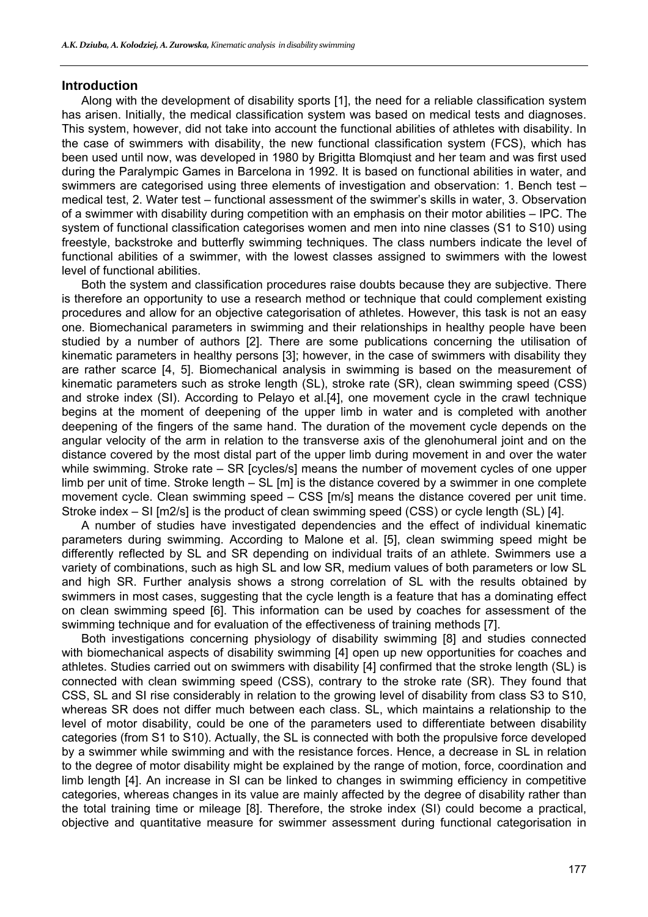#### **Introduction**

Along with the development of disability sports [1], the need for a reliable classification system has arisen. Initially, the medical classification system was based on medical tests and diagnoses. This system, however, did not take into account the functional abilities of athletes with disability. In the case of swimmers with disability, the new functional classification system (FCS), which has been used until now, was developed in 1980 by Brigitta Blomqiust and her team and was first used during the Paralympic Games in Barcelona in 1992. It is based on functional abilities in water, and swimmers are categorised using three elements of investigation and observation: 1. Bench test – medical test, 2. Water test – functional assessment of the swimmer's skills in water, 3. Observation of a swimmer with disability during competition with an emphasis on their motor abilities – IPC. The system of functional classification categorises women and men into nine classes (S1 to S10) using freestyle, backstroke and butterfly swimming techniques. The class numbers indicate the level of functional abilities of a swimmer, with the lowest classes assigned to swimmers with the lowest level of functional abilities.

Both the system and classification procedures raise doubts because they are subjective. There is therefore an opportunity to use a research method or technique that could complement existing procedures and allow for an objective categorisation of athletes. However, this task is not an easy one. Biomechanical parameters in swimming and their relationships in healthy people have been studied by a number of authors [2]. There are some publications concerning the utilisation of kinematic parameters in healthy persons [3]; however, in the case of swimmers with disability they are rather scarce [4, 5]. Biomechanical analysis in swimming is based on the measurement of kinematic parameters such as stroke length (SL), stroke rate (SR), clean swimming speed (CSS) and stroke index (SI). According to Pelayo et al.[4], one movement cycle in the crawl technique begins at the moment of deepening of the upper limb in water and is completed with another deepening of the fingers of the same hand. The duration of the movement cycle depends on the angular velocity of the arm in relation to the transverse axis of the glenohumeral joint and on the distance covered by the most distal part of the upper limb during movement in and over the water while swimming. Stroke rate – SR [cycles/s] means the number of movement cycles of one upper limb per unit of time. Stroke length – SL [m] is the distance covered by a swimmer in one complete movement cycle. Clean swimming speed – CSS [m/s] means the distance covered per unit time. Stroke index – SI [m2/s] is the product of clean swimming speed (CSS) or cycle length (SL) [4].

A number of studies have investigated dependencies and the effect of individual kinematic parameters during swimming. According to Malone et al. [5], clean swimming speed might be differently reflected by SL and SR depending on individual traits of an athlete. Swimmers use a variety of combinations, such as high SL and low SR, medium values of both parameters or low SL and high SR. Further analysis shows a strong correlation of SL with the results obtained by swimmers in most cases, suggesting that the cycle length is a feature that has a dominating effect on clean swimming speed [6]. This information can be used by coaches for assessment of the swimming technique and for evaluation of the effectiveness of training methods [7].

Both investigations concerning physiology of disability swimming [8] and studies connected with biomechanical aspects of disability swimming [4] open up new opportunities for coaches and athletes. Studies carried out on swimmers with disability [4] confirmed that the stroke length (SL) is connected with clean swimming speed (CSS), contrary to the stroke rate (SR). They found that CSS, SL and SI rise considerably in relation to the growing level of disability from class S3 to S10, whereas SR does not differ much between each class. SL, which maintains a relationship to the level of motor disability, could be one of the parameters used to differentiate between disability categories (from S1 to S10). Actually, the SL is connected with both the propulsive force developed by a swimmer while swimming and with the resistance forces. Hence, a decrease in SL in relation to the degree of motor disability might be explained by the range of motion, force, coordination and limb length [4]. An increase in SI can be linked to changes in swimming efficiency in competitive categories, whereas changes in its value are mainly affected by the degree of disability rather than the total training time or mileage [8]. Therefore, the stroke index (SI) could become a practical, objective and quantitative measure for swimmer assessment during functional categorisation in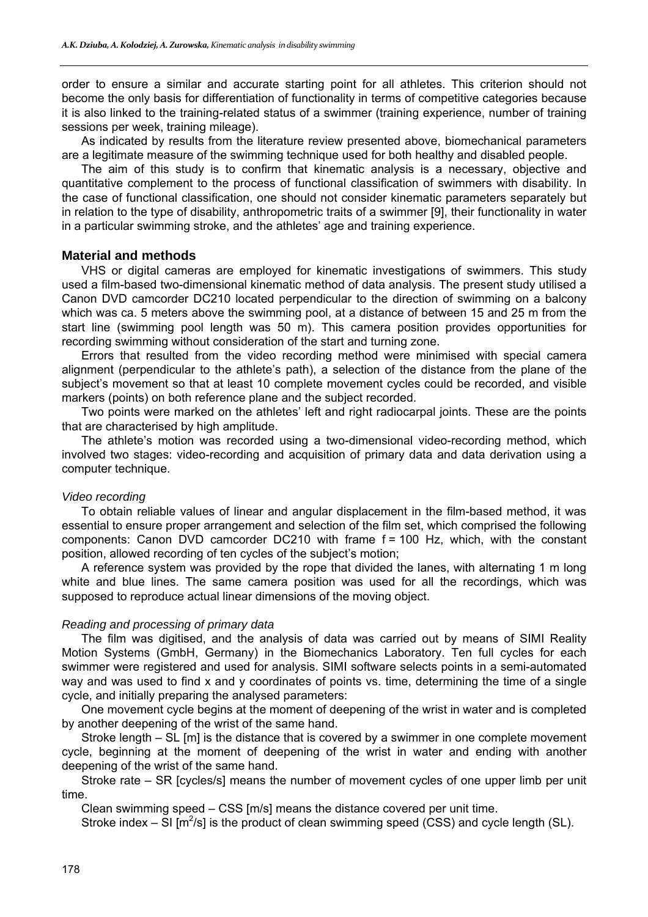order to ensure a similar and accurate starting point for all athletes. This criterion should not become the only basis for differentiation of functionality in terms of competitive categories because it is also linked to the training-related status of a swimmer (training experience, number of training sessions per week, training mileage).

As indicated by results from the literature review presented above, biomechanical parameters are a legitimate measure of the swimming technique used for both healthy and disabled people.

The aim of this study is to confirm that kinematic analysis is a necessary, objective and quantitative complement to the process of functional classification of swimmers with disability. In the case of functional classification, one should not consider kinematic parameters separately but in relation to the type of disability, anthropometric traits of a swimmer [9], their functionality in water in a particular swimming stroke, and the athletes' age and training experience.

## **Material and methods**

VHS or digital cameras are employed for kinematic investigations of swimmers. This study used a film-based two-dimensional kinematic method of data analysis. The present study utilised a Canon DVD camcorder DC210 located perpendicular to the direction of swimming on a balcony which was ca. 5 meters above the swimming pool, at a distance of between 15 and 25 m from the start line (swimming pool length was 50 m). This camera position provides opportunities for recording swimming without consideration of the start and turning zone.

Errors that resulted from the video recording method were minimised with special camera alignment (perpendicular to the athlete's path), a selection of the distance from the plane of the subject's movement so that at least 10 complete movement cycles could be recorded, and visible markers (points) on both reference plane and the subject recorded.

Two points were marked on the athletes' left and right radiocarpal joints. These are the points that are characterised by high amplitude.

The athlete's motion was recorded using a two-dimensional video-recording method, which involved two stages: video-recording and acquisition of primary data and data derivation using a computer technique.

#### *Video recording*

To obtain reliable values of linear and angular displacement in the film-based method, it was essential to ensure proper arrangement and selection of the film set, which comprised the following components: Canon DVD camcorder DC210 with frame f = 100 Hz, which, with the constant position, allowed recording of ten cycles of the subject's motion;

A reference system was provided by the rope that divided the lanes, with alternating 1 m long white and blue lines. The same camera position was used for all the recordings, which was supposed to reproduce actual linear dimensions of the moving object.

#### *Reading and processing of primary data*

The film was digitised, and the analysis of data was carried out by means of SIMI Reality Motion Systems (GmbH, Germany) in the Biomechanics Laboratory. Ten full cycles for each swimmer were registered and used for analysis. SIMI software selects points in a semi-automated way and was used to find x and y coordinates of points vs. time, determining the time of a single cycle, and initially preparing the analysed parameters:

One movement cycle begins at the moment of deepening of the wrist in water and is completed by another deepening of the wrist of the same hand.

Stroke length – SL [m] is the distance that is covered by a swimmer in one complete movement cycle, beginning at the moment of deepening of the wrist in water and ending with another deepening of the wrist of the same hand.

Stroke rate – SR [cycles/s] means the number of movement cycles of one upper limb per unit time.

Clean swimming speed – CSS [m/s] means the distance covered per unit time.

Stroke index  $-$  SI [m<sup>2</sup>/s] is the product of clean swimming speed (CSS) and cycle length (SL).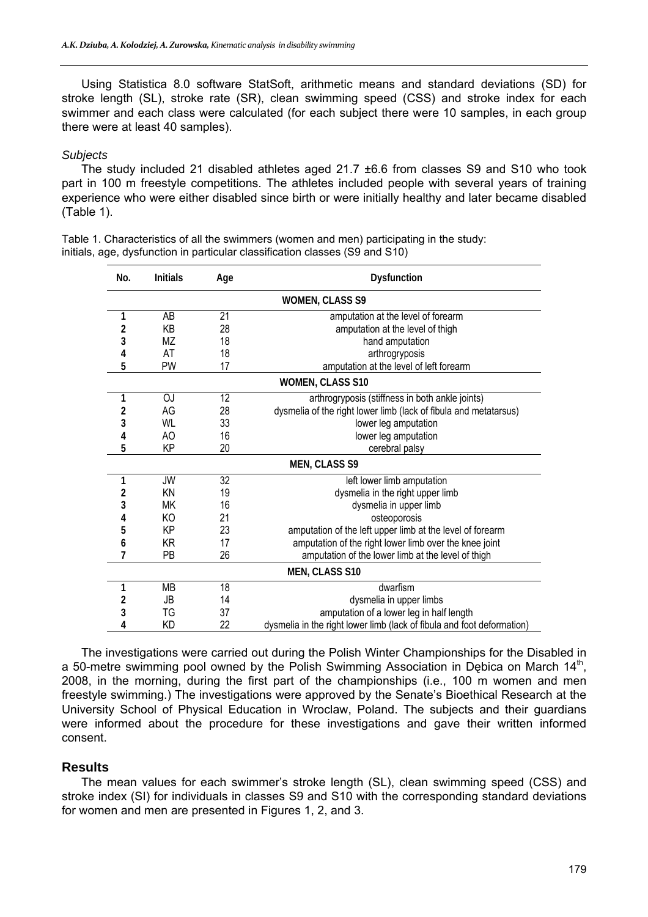Using Statistica 8.0 software StatSoft, arithmetic means and standard deviations (SD) for stroke length (SL), stroke rate (SR), clean swimming speed (CSS) and stroke index for each swimmer and each class were calculated (for each subject there were 10 samples, in each group there were at least 40 samples).

#### *Subjects*

The study included 21 disabled athletes aged 21.7 ±6.6 from classes S9 and S10 who took part in 100 m freestyle competitions. The athletes included people with several years of training experience who were either disabled since birth or were initially healthy and later became disabled (Table 1).

Table 1. Characteristics of all the swimmers (women and men) participating in the study: initials, age, dysfunction in particular classification classes (S9 and S10)

| No.                    | <b>Initials</b> | Age | <b>Dysfunction</b>                                                     |  |
|------------------------|-----------------|-----|------------------------------------------------------------------------|--|
| <b>WOMEN, CLASS S9</b> |                 |     |                                                                        |  |
| 1                      | AB              | 21  | amputation at the level of forearm                                     |  |
| 2                      | KB              | 28  | amputation at the level of thigh                                       |  |
| 3                      | ΜZ              | 18  | hand amputation                                                        |  |
| 4                      | AT              | 18  | arthrogryposis                                                         |  |
| 5                      | PW              | 17  | amputation at the level of left forearm                                |  |
|                        |                 |     | <b>WOMEN, CLASS S10</b>                                                |  |
| 1                      | ΟJ              | 12  | arthrogryposis (stiffness in both ankle joints)                        |  |
| 2                      | AG              | 28  | dysmelia of the right lower limb (lack of fibula and metatarsus)       |  |
| 3                      | WL              | 33  | lower leg amputation                                                   |  |
| 4                      | AO              | 16  | lower leg amputation                                                   |  |
| 5                      | KP              | 20  | cerebral palsy                                                         |  |
| <b>MEN, CLASS S9</b>   |                 |     |                                                                        |  |
| 1                      | JW              | 32  | left lower limb amputation                                             |  |
| 2                      | ΚN              | 19  | dysmelia in the right upper limb                                       |  |
| 3                      | МK              | 16  | dysmelia in upper limb                                                 |  |
| 4                      | KO              | 21  | osteoporosis                                                           |  |
| 5                      | KP              | 23  | amputation of the left upper limb at the level of forearm              |  |
| 6                      | KR              | 17  | amputation of the right lower limb over the knee joint                 |  |
| 7                      | PB              | 26  | amputation of the lower limb at the level of thigh                     |  |
| <b>MEN, CLASS S10</b>  |                 |     |                                                                        |  |
| 1                      | <b>MB</b>       | 18  | dwarfism                                                               |  |
| 2                      | JB              | 14  | dysmelia in upper limbs                                                |  |
| 3                      | TG              | 37  | amputation of a lower leg in half length                               |  |
| 4                      | ΚD              | 22  | dysmelia in the right lower limb (lack of fibula and foot deformation) |  |

The investigations were carried out during the Polish Winter Championships for the Disabled in a 50-metre swimming pool owned by the Polish Swimming Association in Debica on March  $14<sup>th</sup>$ , 2008, in the morning, during the first part of the championships (i.e., 100 m women and men freestyle swimming.) The investigations were approved by the Senate's Bioethical Research at the University School of Physical Education in Wroclaw, Poland. The subjects and their guardians were informed about the procedure for these investigations and gave their written informed consent.

# **Results**

The mean values for each swimmer's stroke length (SL), clean swimming speed (CSS) and stroke index (SI) for individuals in classes S9 and S10 with the corresponding standard deviations for women and men are presented in Figures 1, 2, and 3.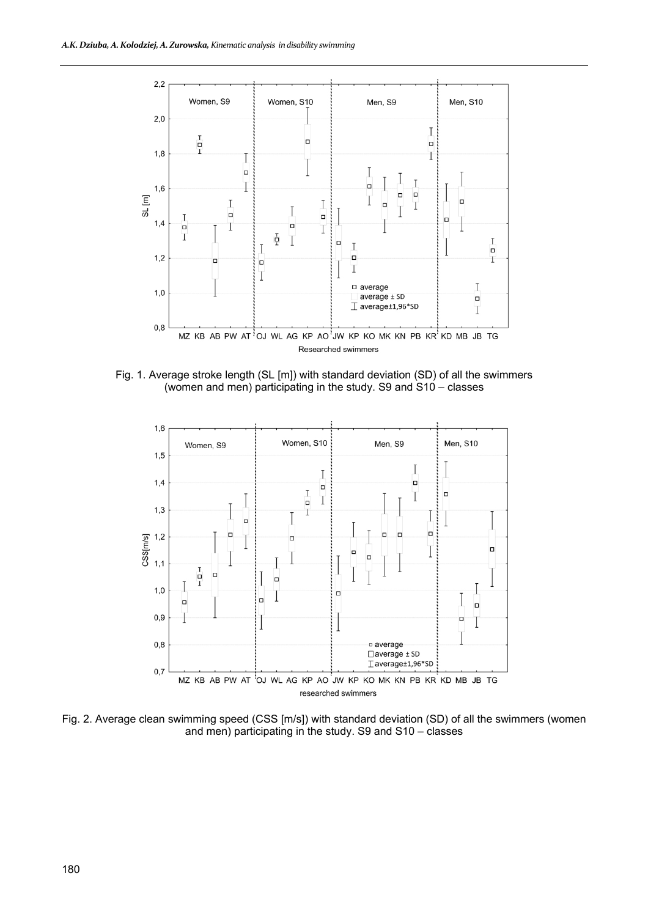

Fig. 1. Average stroke length (SL [m]) with standard deviation (SD) of all the swimmers (women and men) participating in the study. S9 and S10 – classes



Fig. 2. Average clean swimming speed (CSS [m/s]) with standard deviation (SD) of all the swimmers (women and men) participating in the study. S9 and S10 – classes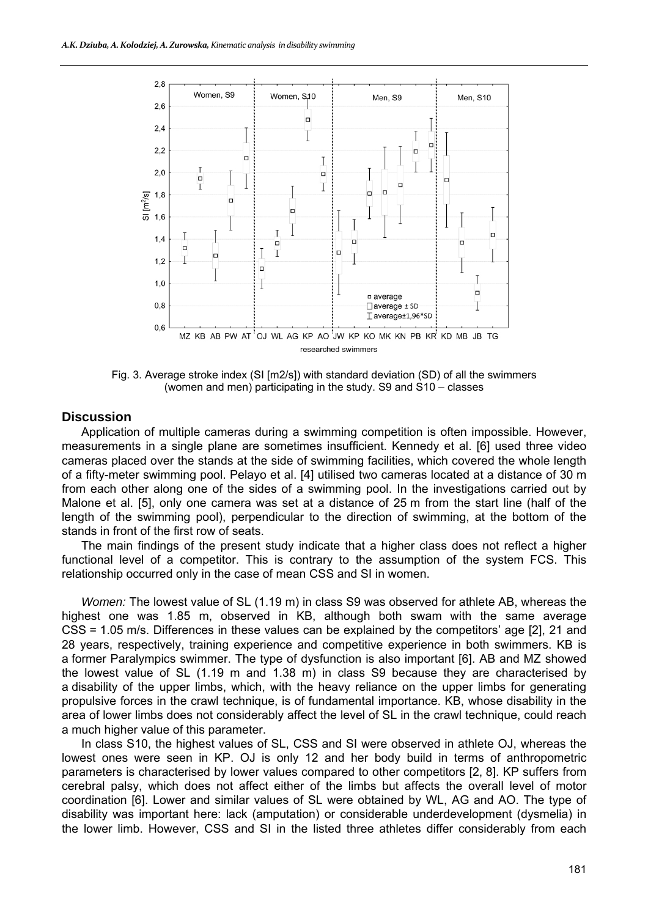

Fig. 3. Average stroke index (SI [m2/s]) with standard deviation (SD) of all the swimmers (women and men) participating in the study. S9 and S10 – classes

#### **Discussion**

Application of multiple cameras during a swimming competition is often impossible. However, measurements in a single plane are sometimes insufficient. Kennedy et al. [6] used three video cameras placed over the stands at the side of swimming facilities, which covered the whole length of a fifty-meter swimming pool. Pelayo et al. [4] utilised two cameras located at a distance of 30 m from each other along one of the sides of a swimming pool. In the investigations carried out by Malone et al. [5], only one camera was set at a distance of 25 m from the start line (half of the length of the swimming pool), perpendicular to the direction of swimming, at the bottom of the stands in front of the first row of seats.

The main findings of the present study indicate that a higher class does not reflect a higher functional level of a competitor. This is contrary to the assumption of the system FCS. This relationship occurred only in the case of mean CSS and SI in women.

*Women:* The lowest value of SL (1.19 m) in class S9 was observed for athlete AB, whereas the highest one was 1.85 m, observed in KB, although both swam with the same average CSS = 1.05 m/s. Differences in these values can be explained by the competitors' age [2], 21 and 28 years, respectively, training experience and competitive experience in both swimmers. KB is a former Paralympics swimmer. The type of dysfunction is also important [6]. AB and MZ showed the lowest value of SL (1.19 m and 1.38 m) in class S9 because they are characterised by a disability of the upper limbs, which, with the heavy reliance on the upper limbs for generating propulsive forces in the crawl technique, is of fundamental importance. KB, whose disability in the area of lower limbs does not considerably affect the level of SL in the crawl technique, could reach a much higher value of this parameter.

In class S10, the highest values of SL, CSS and SI were observed in athlete OJ, whereas the lowest ones were seen in KP. OJ is only 12 and her body build in terms of anthropometric parameters is characterised by lower values compared to other competitors [2, 8]. KP suffers from cerebral palsy, which does not affect either of the limbs but affects the overall level of motor coordination [6]. Lower and similar values of SL were obtained by WL, AG and AO. The type of disability was important here: lack (amputation) or considerable underdevelopment (dysmelia) in the lower limb. However, CSS and SI in the listed three athletes differ considerably from each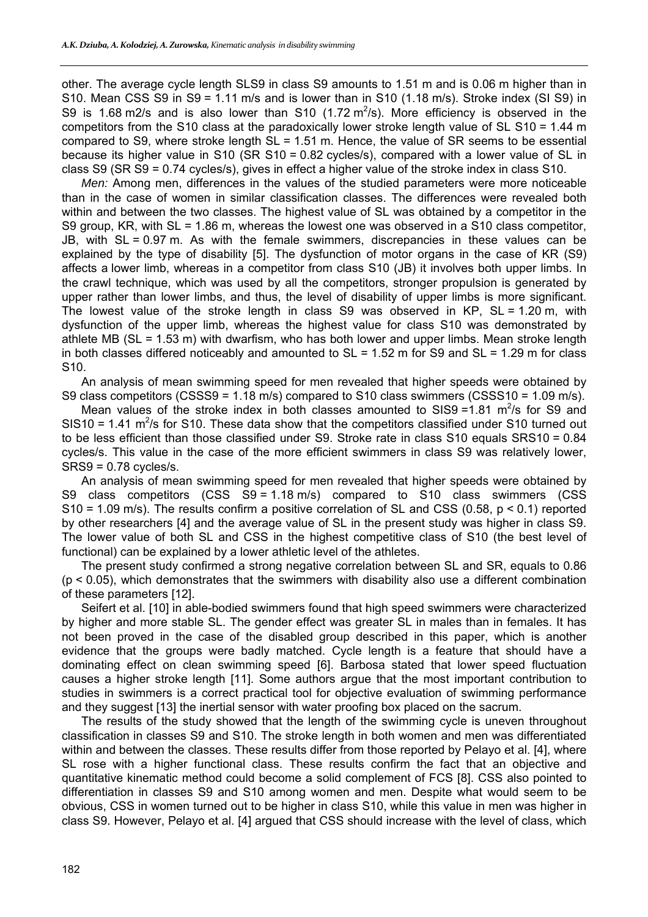other. The average cycle length SLS9 in class S9 amounts to 1.51 m and is 0.06 m higher than in S10. Mean CSS S9 in S9 = 1.11 m/s and is lower than in S10  $(1.18 \text{ m/s})$ . Stroke index (SI S9) in S9 is 1.68 m2/s and is also lower than S10 (1.72 m<sup>2</sup>/s). More efficiency is observed in the competitors from the S10 class at the paradoxically lower stroke length value of SL S10 = 1.44 m compared to S9, where stroke length SL = 1.51 m. Hence, the value of SR seems to be essential because its higher value in S10 (SR S10 = 0.82 cycles/s), compared with a lower value of SL in class S9 (SR S9 = 0.74 cycles/s), gives in effect a higher value of the stroke index in class S10.

*Men:* Among men, differences in the values of the studied parameters were more noticeable than in the case of women in similar classification classes. The differences were revealed both within and between the two classes. The highest value of SL was obtained by a competitor in the S9 group, KR, with SL = 1.86 m, whereas the lowest one was observed in a S10 class competitor. JB, with SL = 0.97 m. As with the female swimmers, discrepancies in these values can be explained by the type of disability [5]. The dysfunction of motor organs in the case of KR (S9) affects a lower limb, whereas in a competitor from class S10 (JB) it involves both upper limbs. In the crawl technique, which was used by all the competitors, stronger propulsion is generated by upper rather than lower limbs, and thus, the level of disability of upper limbs is more significant. The lowest value of the stroke length in class S9 was observed in KP,  $SL = 1.20$  m, with dysfunction of the upper limb, whereas the highest value for class S10 was demonstrated by athlete MB ( $SL = 1.53$  m) with dwarfism, who has both lower and upper limbs. Mean stroke length in both classes differed noticeably and amounted to  $SL = 1.52$  m for S9 and  $SL = 1.29$  m for class S10.

An analysis of mean swimming speed for men revealed that higher speeds were obtained by S9 class competitors (CSSS9 = 1.18 m/s) compared to S10 class swimmers (CSSS10 = 1.09 m/s).

Mean values of the stroke index in both classes amounted to SIS9 =  $1.81 \text{ m}^2/\text{s}$  for S9 and SIS10 = 1.41  $\mathrm{m}^2$ /s for S10. These data show that the competitors classified under S10 turned out to be less efficient than those classified under S9. Stroke rate in class S10 equals SRS10 = 0.84 cycles/s. This value in the case of the more efficient swimmers in class S9 was relatively lower, SRS9 = 0.78 cycles/s.

An analysis of mean swimming speed for men revealed that higher speeds were obtained by S9 class competitors (CSS S9 = 1.18 m/s) compared to S10 class swimmers (CSS S10 = 1.09 m/s). The results confirm a positive correlation of SL and CSS (0.58, p < 0.1) reported by other researchers [4] and the average value of SL in the present study was higher in class S9. The lower value of both SL and CSS in the highest competitive class of S10 (the best level of functional) can be explained by a lower athletic level of the athletes.

The present study confirmed a strong negative correlation between SL and SR, equals to 0.86  $(p < 0.05)$ , which demonstrates that the swimmers with disability also use a different combination of these parameters [12].

Seifert et al. [10] in able-bodied swimmers found that high speed swimmers were characterized by higher and more stable SL. The gender effect was greater SL in males than in females. It has not been proved in the case of the disabled group described in this paper, which is another evidence that the groups were badly matched. Cycle length is a feature that should have a dominating effect on clean swimming speed [6]. Barbosa stated that lower speed fluctuation causes a higher stroke length [11]. Some authors argue that the most important contribution to studies in swimmers is a correct practical tool for objective evaluation of swimming performance and they suggest [13] the inertial sensor with water proofing box placed on the sacrum.

The results of the study showed that the length of the swimming cycle is uneven throughout classification in classes S9 and S10. The stroke length in both women and men was differentiated within and between the classes. These results differ from those reported by Pelayo et al. [4], where SL rose with a higher functional class. These results confirm the fact that an objective and quantitative kinematic method could become a solid complement of FCS [8]. CSS also pointed to differentiation in classes S9 and S10 among women and men. Despite what would seem to be obvious, CSS in women turned out to be higher in class S10, while this value in men was higher in class S9. However, Pelayo et al. [4] argued that CSS should increase with the level of class, which